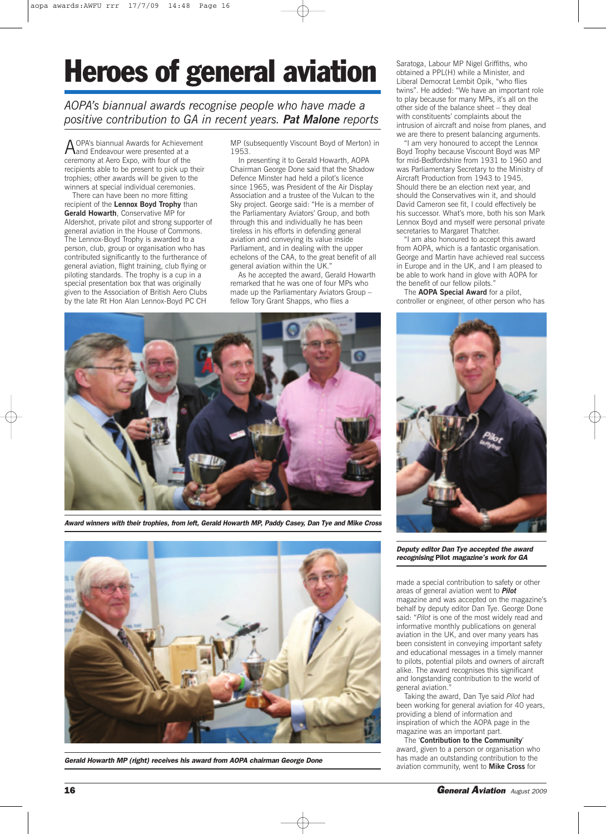## **Heroes of general aviation**

*AOPA's biannual awards recognise people who have made a positive contribution to GA in recent years. Pat Malone reports*

A OPA's biannual Awards for Achievement<br>And Endeavour were presented at a ceremony at Aero Expo, with four of the recipients able to be present to pick up their trophies; other awards will be given to the winners at special individual ceremonies.

There can have been no more fitting recipient of the **Lennox Boyd Trophy** than **Gerald Howarth**, Conservative MP for Aldershot, private pilot and strong supporter of general aviation in the House of Commons. The Lennox-Boyd Trophy is awarded to a person, club, group or organisation who has contributed significantly to the furtherance of general aviation, flight training, club flying or piloting standards. The trophy is a cup in a special presentation box that was originally given to the Association of British Aero Clubs by the late Rt Hon Alan Lennox-Boyd PC CH

MP (subsequently Viscount Boyd of Merton) in 1953.

In presenting it to Gerald Howarth, AOPA Chairman George Done said that the Shadow Defence Minster had held a pilot's licence since 1965, was President of the Air Display Association and a trustee of the Vulcan to the Sky project. George said: "He is a member of the Parliamentary Aviators' Group, and both through this and individually he has been tireless in his efforts in defending general aviation and conveying its value inside Parliament, and in dealing with the upper echelons of the CAA, to the great benefit of all general aviation within the UK."

As he accepted the award, Gerald Howarth remarked that he was one of four MPs who made up the Parliamentary Aviators Group – fellow Tory Grant Shapps, who flies a

Saratoga, Labour MP Nigel Griffiths, who obtained a PPL(H) while a Minister, and Liberal Democrat Lembit Opik, "who flies twins". He added: "We have an important role to play because for many MPs, it's all on the other side of the balance sheet – they deal with constituents' complaints about the intrusion of aircraft and noise from planes, and we are there to present balancing arguments.

"I am very honoured to accept the Lennox Boyd Trophy because Viscount Boyd was MP for mid-Bedfordshire from 1931 to 1960 and was Parliamentary Secretary to the Ministry of Aircraft Production from 1943 to 1945. Should there be an election next year, and should the Conservatives win it, and should David Cameron see fit, I could effectively be his successor. What's more, both his son Mark Lennox Boyd and myself were personal private secretaries to Margaret Thatcher.

"I am also honoured to accept this award from AOPA, which is a fantastic organisation. George and Martin have achieved real success in Europe and in the UK, and I am pleased to be able to work hand in glove with AOPA for the benefit of our fellow pilots."

The **AOPA Special Award** for a pilot, controller or engineer, of other person who has



*Award winners with their trophies, from left, Gerald Howarth MP, Paddy Casey, Dan Tye and Mike Cross*



*Gerald Howarth MP (right) receives his award from AOPA chairman George Done*



*Deputy editor Dan Tye accepted the award recognising* **Pilot** *magazine's work for GA*

made a special contribution to safety or other areas of general aviation went to *Pilot* magazine and was accepted on the magazine's behalf by deputy editor Dan Tye. George Done said: "*Pilot* is one of the most widely read and informative monthly publications on general aviation in the UK, and over many years has been consistent in conveying important safety and educational messages in a timely manner to pilots, potential pilots and owners of aircraft alike. The award recognises this significant and longstanding contribution to the world of general aviation.

Taking the award, Dan Tye said *Pilot* had been working for general aviation for 40 years, providing a blend of information and inspiration of which the AOPA page in the magazine was an important part.

The '**Contribution to the Community**' award, given to a person or organisation who has made an outstanding contribution to the aviation community, went to **Mike Cross** for